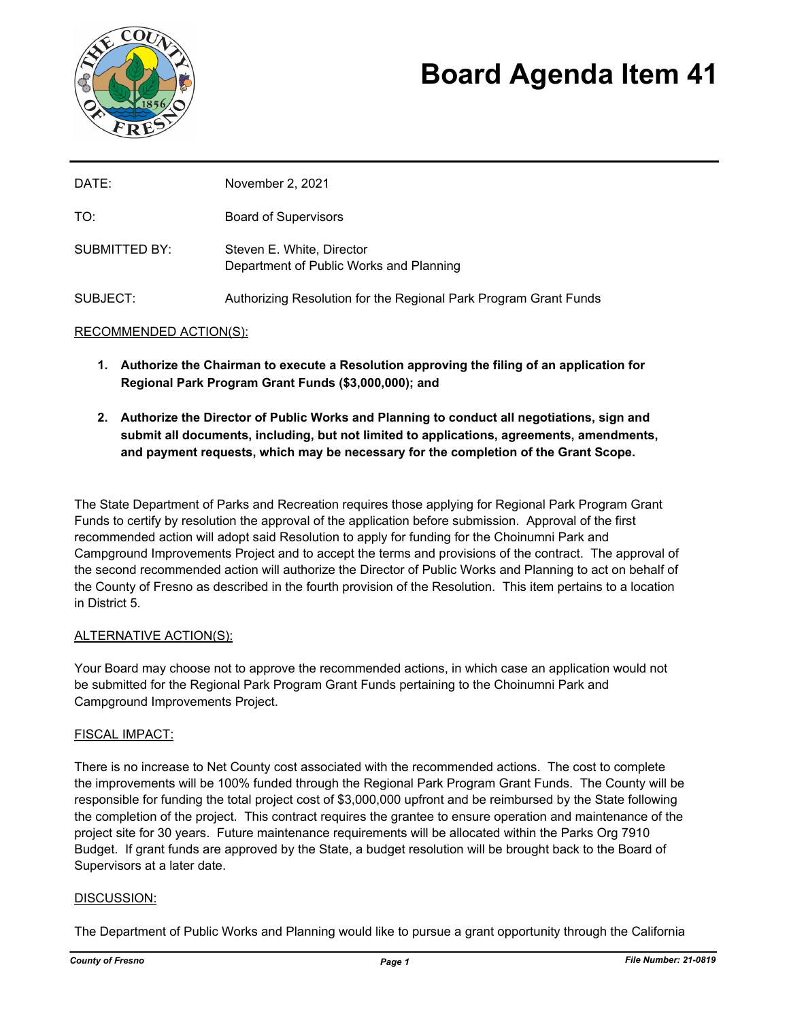

# **Board Agenda Item 41**

| DATE:         | November 2, 2021                                                     |
|---------------|----------------------------------------------------------------------|
| TO:           | <b>Board of Supervisors</b>                                          |
| SUBMITTED BY: | Steven E. White, Director<br>Department of Public Works and Planning |
| SUBJECT:      | Authorizing Resolution for the Regional Park Program Grant Funds     |

# RECOMMENDED ACTION(S):

- **1. Authorize the Chairman to execute a Resolution approving the filing of an application for Regional Park Program Grant Funds (\$3,000,000); and**
- **2. Authorize the Director of Public Works and Planning to conduct all negotiations, sign and submit all documents, including, but not limited to applications, agreements, amendments, and payment requests, which may be necessary for the completion of the Grant Scope.**

The State Department of Parks and Recreation requires those applying for Regional Park Program Grant Funds to certify by resolution the approval of the application before submission. Approval of the first recommended action will adopt said Resolution to apply for funding for the Choinumni Park and Campground Improvements Project and to accept the terms and provisions of the contract. The approval of the second recommended action will authorize the Director of Public Works and Planning to act on behalf of the County of Fresno as described in the fourth provision of the Resolution. This item pertains to a location in District 5.

### ALTERNATIVE ACTION(S):

Your Board may choose not to approve the recommended actions, in which case an application would not be submitted for the Regional Park Program Grant Funds pertaining to the Choinumni Park and Campground Improvements Project.

### FISCAL IMPACT:

There is no increase to Net County cost associated with the recommended actions. The cost to complete the improvements will be 100% funded through the Regional Park Program Grant Funds. The County will be responsible for funding the total project cost of \$3,000,000 upfront and be reimbursed by the State following the completion of the project. This contract requires the grantee to ensure operation and maintenance of the project site for 30 years. Future maintenance requirements will be allocated within the Parks Org 7910 Budget. If grant funds are approved by the State, a budget resolution will be brought back to the Board of Supervisors at a later date.

### DISCUSSION:

The Department of Public Works and Planning would like to pursue a grant opportunity through the California